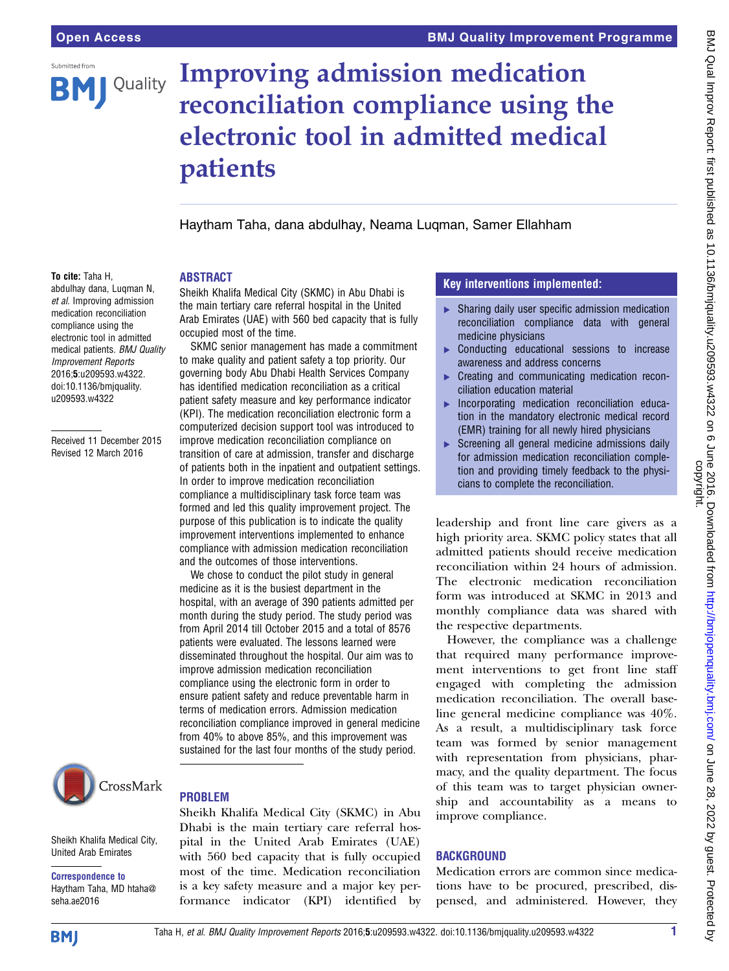

# Improving admission medication reconciliation compliance using the electronic tool in admitted medical patients

Haytham Taha, dana abdulhay, Neama Luqman, Samer Ellahham

#### To cite: Taha H,

abdulhay dana, Luqman N, et al. Improving admission medication reconciliation compliance using the electronic tool in admitted medical patients. BMJ Quality Improvement Reports 2016;5:u209593.w4322. doi:10.1136/bmjquality. u209593.w4322

Received 11 December 2015 Revised 12 March 2016

Sheikh Khalifa Medical City (SKMC) in Abu Dhabi is the main tertiary care referral hospital in the United Arab Emirates (UAE) with 560 bed capacity that is fully occupied most of the time.

ABSTRACT

SKMC senior management has made a commitment to make quality and patient safety a top priority. Our governing body Abu Dhabi Health Services Company has identified medication reconciliation as a critical patient safety measure and key performance indicator (KPI). The medication reconciliation electronic form a computerized decision support tool was introduced to improve medication reconciliation compliance on transition of care at admission, transfer and discharge of patients both in the inpatient and outpatient settings. In order to improve medication reconciliation compliance a multidisciplinary task force team was formed and led this quality improvement project. The purpose of this publication is to indicate the quality improvement interventions implemented to enhance compliance with admission medication reconciliation and the outcomes of those interventions.

We chose to conduct the pilot study in general medicine as it is the busiest department in the hospital, with an average of 390 patients admitted per month during the study period. The study period was from April 2014 till October 2015 and a total of 8576 patients were evaluated. The lessons learned were disseminated throughout the hospital. Our aim was to improve admission medication reconciliation compliance using the electronic form in order to ensure patient safety and reduce preventable harm in terms of medication errors. Admission medication reconciliation compliance improved in general medicine from 40% to above 85%, and this improvement was sustained for the last four months of the study period.



Sheikh Khalifa Medical City, United Arab Emirates

Correspondence to Haytham Taha, MD htaha@ seha.ae2016

### PROBLEM

Sheikh Khalifa Medical City (SKMC) in Abu Dhabi is the main tertiary care referral hospital in the United Arab Emirates (UAE) with 560 bed capacity that is fully occupied most of the time. Medication reconciliation is a key safety measure and a major key performance indicator (KPI) identified by

### Key interventions implemented:

- ▶ Sharing daily user specific admission medication reconciliation compliance data with general medicine physicians
- ▸ Conducting educational sessions to increase awareness and address concerns
- ▶ Creating and communicating medication reconciliation education material
- ▸ Incorporating medication reconciliation education in the mandatory electronic medical record (EMR) training for all newly hired physicians
- Screening all general medicine admissions daily for admission medication reconciliation completion and providing timely feedback to the physicians to complete the reconciliation.

leadership and front line care givers as a high priority area. SKMC policy states that all admitted patients should receive medication reconciliation within 24 hours of admission. The electronic medication reconciliation form was introduced at SKMC in 2013 and monthly compliance data was shared with the respective departments.

However, the compliance was a challenge that required many performance improvement interventions to get front line staff engaged with completing the admission medication reconciliation. The overall baseline general medicine compliance was 40%. As a result, a multidisciplinary task force team was formed by senior management with representation from physicians, pharmacy, and the quality department. The focus of this team was to target physician ownership and accountability as a means to improve compliance.

## **BACKGROUND**

Medication errors are common since medications have to be procured, prescribed, dispensed, and administered. However, they

**BMJ**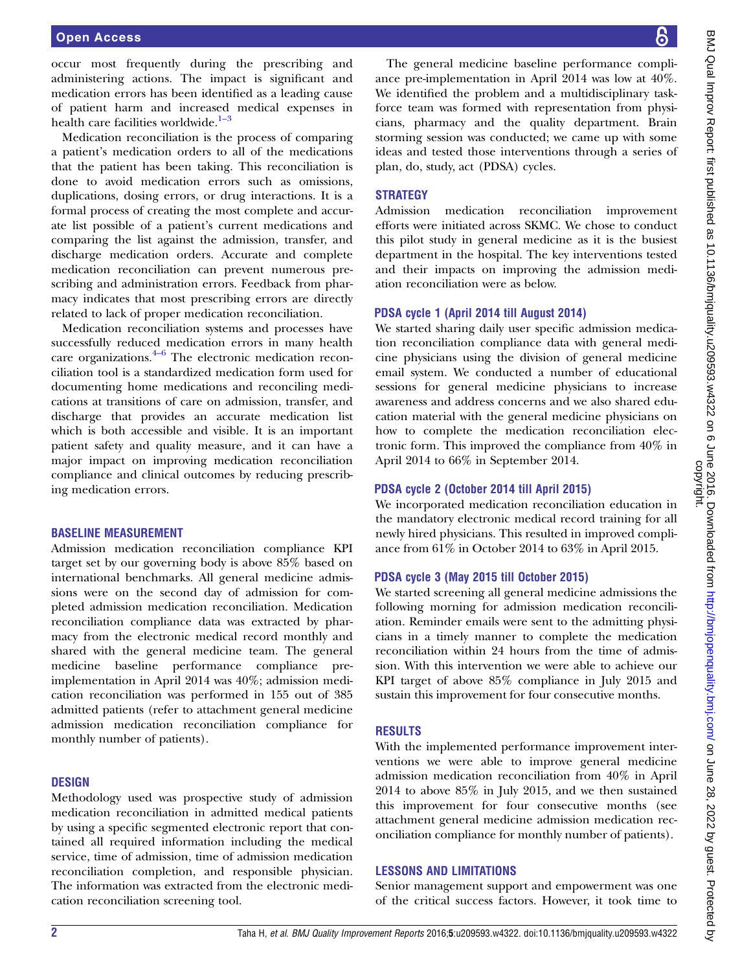occur most frequently during the prescribing and administering actions. The impact is significant and medication errors has been identified as a leading cause of patient harm and increased medical expenses in health care facilities worldwide.<sup>[1](#page-3-0)-3</sup>

Medication reconciliation is the process of comparing a patient's medication orders to all of the medications that the patient has been taking. This reconciliation is done to avoid medication errors such as omissions, duplications, dosing errors, or drug interactions. It is a formal process of creating the most complete and accurate list possible of a patient's current medications and comparing the list against the admission, transfer, and discharge medication orders. Accurate and complete medication reconciliation can prevent numerous prescribing and administration errors. Feedback from pharmacy indicates that most prescribing errors are directly related to lack of proper medication reconciliation.

Medication reconciliation systems and processes have successfully reduc[ed m](#page-3-0)edication errors in many health care organizations. $4-6$  The electronic medication reconciliation tool is a standardized medication form used for documenting home medications and reconciling medications at transitions of care on admission, transfer, and discharge that provides an accurate medication list which is both accessible and visible. It is an important patient safety and quality measure, and it can have a major impact on improving medication reconciliation compliance and clinical outcomes by reducing prescribing medication errors.

#### BASELINE MEASUREMENT

Admission medication reconciliation compliance KPI target set by our governing body is above 85% based on international benchmarks. All general medicine admissions were on the second day of admission for completed admission medication reconciliation. Medication reconciliation compliance data was extracted by pharmacy from the electronic medical record monthly and shared with the general medicine team. The general medicine baseline performance compliance preimplementation in April 2014 was 40%; admission medication reconciliation was performed in 155 out of 385 admitted patients (refer to attachment general medicine admission medication reconciliation compliance for monthly number of patients).

#### **DESIGN**

Methodology used was prospective study of admission medication reconciliation in admitted medical patients by using a specific segmented electronic report that contained all required information including the medical service, time of admission, time of admission medication reconciliation completion, and responsible physician. The information was extracted from the electronic medication reconciliation screening tool.

The general medicine baseline performance compliance pre-implementation in April 2014 was low at 40%. We identified the problem and a multidisciplinary taskforce team was formed with representation from physicians, pharmacy and the quality department. Brain storming session was conducted; we came up with some ideas and tested those interventions through a series of plan, do, study, act (PDSA) cycles.

#### **STRATEGY**

Admission medication reconciliation improvement efforts were initiated across SKMC. We chose to conduct this pilot study in general medicine as it is the busiest department in the hospital. The key interventions tested and their impacts on improving the admission mediation reconciliation were as below.

#### PDSA cycle 1 (April 2014 till August 2014)

We started sharing daily user specific admission medication reconciliation compliance data with general medicine physicians using the division of general medicine email system. We conducted a number of educational sessions for general medicine physicians to increase awareness and address concerns and we also shared education material with the general medicine physicians on how to complete the medication reconciliation electronic form. This improved the compliance from 40% in April 2014 to 66% in September 2014.

#### PDSA cycle 2 (October 2014 till April 2015)

We incorporated medication reconciliation education in the mandatory electronic medical record training for all newly hired physicians. This resulted in improved compliance from 61% in October 2014 to 63% in April 2015.

#### PDSA cycle 3 (May 2015 till October 2015)

We started screening all general medicine admissions the following morning for admission medication reconciliation. Reminder emails were sent to the admitting physicians in a timely manner to complete the medication reconciliation within 24 hours from the time of admission. With this intervention we were able to achieve our KPI target of above 85% compliance in July 2015 and sustain this improvement for four consecutive months.

#### RESULTS

With the implemented performance improvement interventions we were able to improve general medicine admission medication reconciliation from 40% in April 2014 to above 85% in July 2015, and we then sustained this improvement for four consecutive months (see attachment general medicine admission medication reconciliation compliance for monthly number of patients).

#### LESSONS AND LIMITATIONS

Senior management support and empowerment was one of the critical success factors. However, it took time to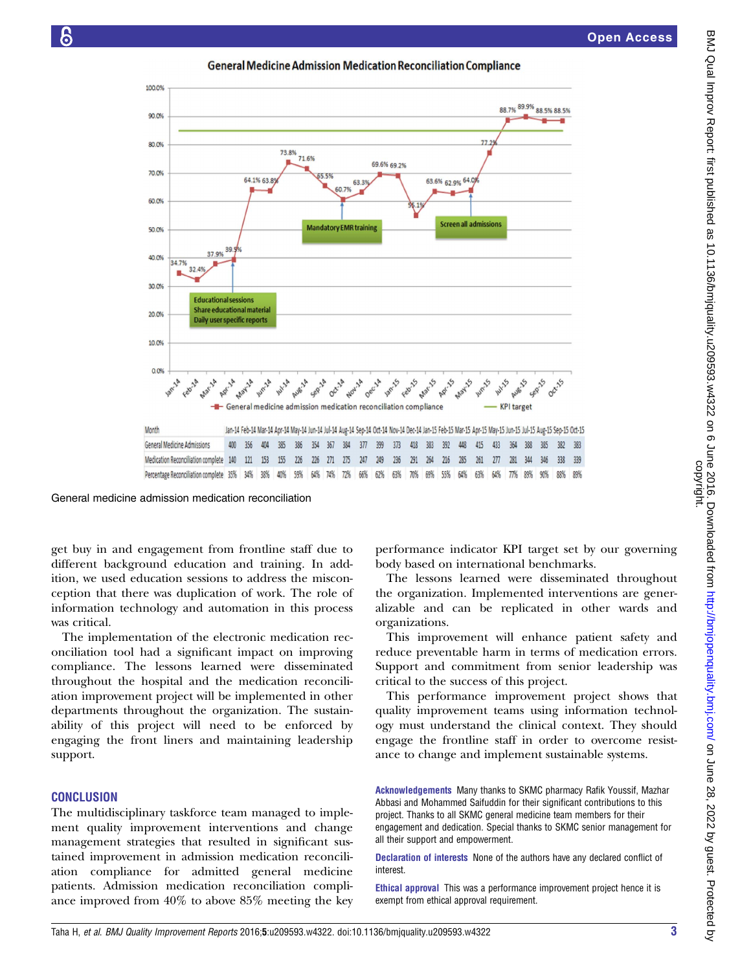



General medicine admission medication reconciliation

get buy in and engagement from frontline staff due to different background education and training. In addition, we used education sessions to address the misconception that there was duplication of work. The role of information technology and automation in this process was critical.

The implementation of the electronic medication reconciliation tool had a significant impact on improving compliance. The lessons learned were disseminated throughout the hospital and the medication reconciliation improvement project will be implemented in other departments throughout the organization. The sustainability of this project will need to be enforced by engaging the front liners and maintaining leadership support.

#### **CONCLUSION**

The multidisciplinary taskforce team managed to implement quality improvement interventions and change management strategies that resulted in significant sustained improvement in admission medication reconciliation compliance for admitted general medicine patients. Admission medication reconciliation compliance improved from 40% to above 85% meeting the key performance indicator KPI target set by our governing body based on international benchmarks.

The lessons learned were disseminated throughout the organization. Implemented interventions are generalizable and can be replicated in other wards and organizations.

This improvement will enhance patient safety and reduce preventable harm in terms of medication errors. Support and commitment from senior leadership was critical to the success of this project.

This performance improvement project shows that quality improvement teams using information technology must understand the clinical context. They should engage the frontline staff in order to overcome resistance to change and implement sustainable systems.

Acknowledgements Many thanks to SKMC pharmacy Rafik Youssif, Mazhar Abbasi and Mohammed Saifuddin for their significant contributions to this project. Thanks to all SKMC general medicine team members for their engagement and dedication. Special thanks to SKMC senior management for all their support and empowerment.

Declaration of interests None of the authors have any declared conflict of interest.

Ethical approval This was a performance improvement project hence it is exempt from ethical approval requirement.